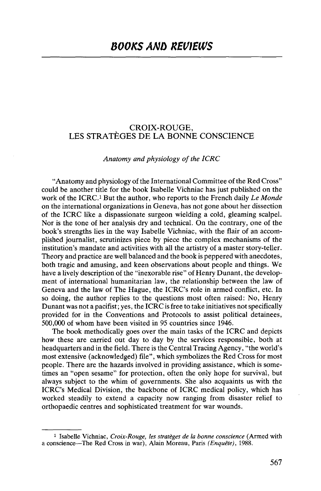## CROIX-ROUGE,<br>LES STRATÈGES DE LA BONNE CONSCIENCE

## *Anatomy and physiology of the ICRC*

"Anatomy and physiology of the International Committee of the Red Cross" could be another title for the book Isabelle Vichniac has just published on the work of the ICRC.<sup>1</sup> But the author, who reports to the French daily Le Monde on the international organizations in Geneva, has not gone about her dissection of the ICRC like a dispassionate surgeon wielding a cold, gleaming scalpel. Nor is the tone of her analysis dry and technical. On the contrary, one of the book's strengths lies in the way Isabelle Vichniac, with the flair of an accomplished journalist, scrutinizes piece by piece the complex mechanisms of the institution's mandate and activities with all the artistry of a master story-teller. Theory and practice are well balanced and the book is peppered with anecdotes, both tragic and amusing, and keen observations about people and things. We have a lively description of the "inexorable rise" of Henry Dunant, the development of international humanitarian law, the relationship between the law of Geneva and the law of The Hague, the ICRC's role in armed conflict, etc. In so doing, the author replies to the questions most often raised: No, Henry Dunant was not a pacifist; yes, the ICRC is free to take initiatives not specifically provided for in the Conventions and Protocols to assist political detainees, 500,000 of whom have been visited in 95 countries since 1946.

The book methodically goes over the main tasks of the ICRC and depicts how these are carried out day to day by the services responsible, both at headquarters and in the field. There is the Central Tracing Agency, "the world's most extensive (acknowledged) file", which symbolizes the Red Cross for most people. There are the hazards involved in providing assistance, which is sometimes an "open sesame" for protection, often the only hope for survival, but always subject to the whim of governments. She also acquaints us with the ICRC's Medical Division, the backbone of ICRC medical policy, which has worked steadily to extend a capacity now ranging from disaster relief to orthopaedic centres and sophisticated treatment for war wounds.

<sup>&</sup>lt;sup>1</sup> Isabelle Vichniac, Croix-Rouge, les stratèges de la bonne conscience (Armed with i conscience—The Red Cross in war), Alain Moreau, Paris *(Enquete),* 1988.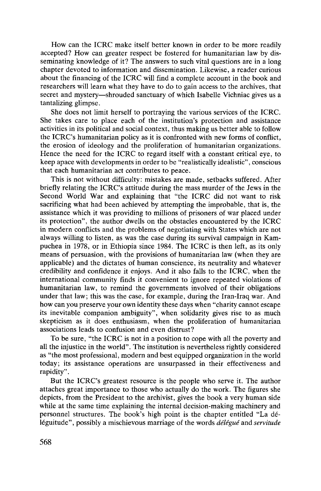How can the ICRC make itself better known in order to be more readily accepted? How can greater respect be fostered for humanitarian law by disseminating knowledge of it? The answers to such vital questions are in a long chapter devoted to information and dissemination. Likewise, a reader curious about the financing of the ICRC will find a complete account in the book and researchers will learn what they have to do to gain access to the archives, that secret and mystery—shrouded sanctuary of which Isabelle Vichniac gives us a tantalizing glimpse.

She does not limit herself to portraying the various services of the ICRC. She takes care to place each of the institution's protection and assistance activities in its political and social context, thus making us better able to follow the ICRC's humanitarian policy as it is confronted with new forms of conflict, the erosion of ideology and the proliferation of humanitarian organizations. Hence the need for the ICRC to regard itself with a constant critical eye, to keep apace with developments in order to be "realistically idealistic", conscious that each humanitarian act contributes to peace.

This is not without difficulty: mistakes are made, setbacks suffered. After briefly relating the ICRC's attitude during the mass murder of the Jews in the Second World War and explaining that "the ICRC did not want to risk sacrificing what had been achieved by attempting the improbable, that is, the assistance which it was providing to millions of prisoners of war placed under its protection", the author dwells on the obstacles encountered by the ICRC in modern conflicts and the problems of negotiating with States which are not always willing to listen, as was the case during its survival campaign in Kampuchea in 1978, or in Ethiopia since 1984. The ICRC is then left, as its only means of persuasion, with the provisions of humanitarian law (when they are applicable) and the dictates of human conscience, its neutrality and whatever credibility and confidence it enjoys. And it also falls to the ICRC, when the international community finds it convenient to ignore repeated violations of humanitarian law, to remind the governments involved of their obligations under that law; this was the case, for example, during the Iran-Iraq war. And how can you preserve your own identity these days when "charity cannot escape its inevitable companion ambiguity", when solidarity gives rise to as much skepticism as it does enthusiasm, when the proliferation of humanitarian associations leads to confusion and even distrust?

To be sure, "the ICRC is not in a position to cope with all the poverty and all the injustice in the world". The institution is nevertheless rightly considered as "the most professional, modern and best equipped organization in the world today; its assistance operations are unsurpassed in their effectiveness and rapidity".

But the ICRC's greatest resource is the people who serve it. The author attaches great importance to those who actually do the work. The figures she depicts, from the President to the archivist, gives the book a very human side while at the same time explaining the internal decision-making machinery and personnel structures. The book's high point is the chapter entitled "La deleguitude", possibly a mischievous marriage of the words *delegue* and *servitude*